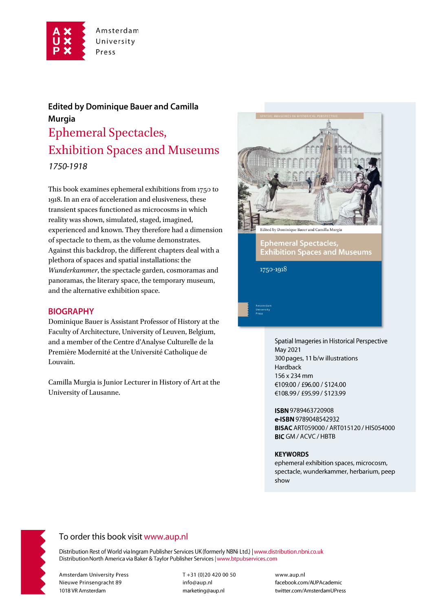

# **Edited by Dominique Bauer and Camilla Murgia** Ephemeral Spectacles, Exhibition Spaces and Museums 1750-1918

This book examines ephemeral exhibitions from 1750 to 1918. In an era of acceleration and elusiveness, these transient spaces functioned as microcosms in which reality was shown, simulated, staged, imagined, experienced and known. They therefore had a dimension of spectacle to them, as the volume demonstrates. Against this backdrop, the different chapters deal with a plethora of spaces and spatial installations: the *Wunderkammer*, the spectacle garden, cosmoramas and panoramas, the literary space, the temporary museum, and the alternative exhibition space.

### **BIOGRAPHY**

Dominique Bauer is Assistant Professor of History at the Faculty of Architecture, University of Leuven, Belgium, and a member of the Centre d'Analyse Culturelle de la Première Modernité at the Université Catholique de Louvain.

Camilla Murgia is Junior Lecturer in History of Art at the University of Lausanne.



Spatial Imageries in Historical Perspective May 2021 300 pages, 11 b/w illustrations Hardback 156 x 234 mm €109.00 / £96.00 / \$124.00 €108.99 / £95.99 / \$123.99

ISBN 9789463720908 e-ISBN 9789048542932 **BISAC ART059000 / ART015120 / HIS054000 BIC GM / ACVC / HBTB** 

#### **KEYWORDS**

ephemeral exhibition spaces, microcosm, spectacle, wunderkammer, herbarium, peep show



## To order this book visit www.aup.nl

Distribution Rest of World via Ingram Publisher Services UK (formerly NBNi Ltd.) | www.distribution.nbni.co.uk Distribution North America via Baker & Taylor Publisher Services | www.btpubservices.com

**Amsterdam University Press** Nieuwe Prinsengracht 89 1018 VR Amsterdam

T+31 (0)20 420 00 50 info@aup.nl marketing@aup.nl

www.aup.nl facebook.com/AUPAcademic twitter.com/AmsterdamUPress